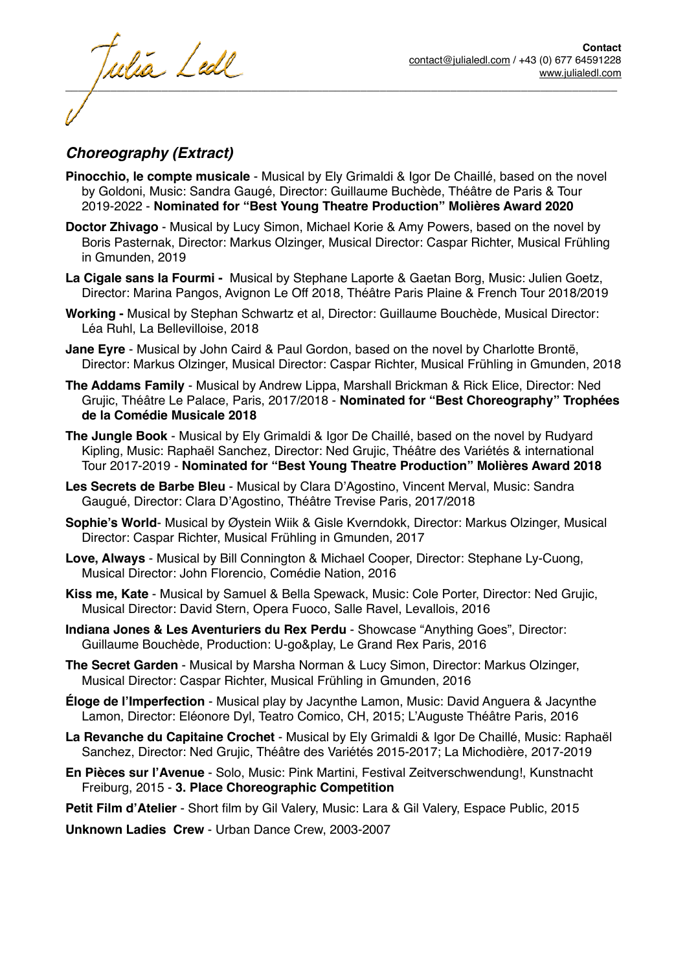tulia Ledl  $\overline{\phantom{a}}$  , and the contract of the contract of the contract of the contract of the contract of the contract of the contract of the contract of the contract of the contract of the contract of the contract of the contrac

#### *Choreography (Extract)*

- **Pinocchio, le compte musicale** Musical by Ely Grimaldi & Igor De Chaillé, based on the novel by Goldoni, Music: Sandra Gaugé, Director: Guillaume Buchède, Théâtre de Paris & Tour 2019-2022 - **Nominated for "Best Young Theatre Production" Molières Award 2020**
- **Doctor Zhivago** Musical by Lucy Simon, Michael Korie & Amy Powers, based on the novel by Boris Pasternak, Director: Markus Olzinger, Musical Director: Caspar Richter, Musical Frühling in Gmunden, 2019
- **La Cigale sans la Fourmi** Musical by Stephane Laporte & Gaetan Borg, Music: Julien Goetz, Director: Marina Pangos, Avignon Le Off 2018, Théâtre Paris Plaine & French Tour 2018/2019
- **Working** Musical by Stephan Schwartz et al, Director: Guillaume Bouchède, Musical Director: Léa Ruhl, La Bellevilloise, 2018
- **Jane Eyre** Musical by John Caird & Paul Gordon, based on the novel by Charlotte Brontë, Director: Markus Olzinger, Musical Director: Caspar Richter, Musical Frühling in Gmunden, 2018
- **The Addams Family**  Musical by Andrew Lippa, Marshall Brickman & Rick Elice, Director: Ned Grujic, Théâtre Le Palace, Paris, 2017/2018 - **Nominated for "Best Choreography" Trophées de la Comédie Musicale 2018**
- **The Jungle Book**  Musical by Ely Grimaldi & Igor De Chaillé, based on the novel by Rudyard Kipling, Music: Raphaël Sanchez, Director: Ned Grujic, Théâtre des Variétés & international Tour 2017-2019 - **Nominated for "Best Young Theatre Production" Molières Award 2018**
- **Les Secrets de Barbe Bleu** Musical by Clara D'Agostino, Vincent Merval, Music: Sandra Gaugué, Director: Clara D'Agostino, Théâtre Trevise Paris, 2017/2018
- **Sophie's World** Musical by Øystein Wiik & Gisle Kverndokk, Director: Markus Olzinger, Musical Director: Caspar Richter, Musical Frühling in Gmunden, 2017
- **Love, Always** Musical by Bill Connington & Michael Cooper, Director: Stephane Ly-Cuong, Musical Director: John Florencio, Comédie Nation, 2016
- **Kiss me, Kate** Musical by Samuel & Bella Spewack, Music: Cole Porter, Director: Ned Grujic, Musical Director: David Stern, Opera Fuoco, Salle Ravel, Levallois, 2016
- **Indiana Jones & Les Aventuriers du Rex Perdu** Showcase "Anything Goes", Director: Guillaume Bouchède, Production: U-go&play, Le Grand Rex Paris, 2016
- **The Secret Garden** Musical by Marsha Norman & Lucy Simon, Director: Markus Olzinger, Musical Director: Caspar Richter, Musical Frühling in Gmunden, 2016
- **Éloge de l'Imperfection** Musical play by Jacynthe Lamon, Music: David Anguera & Jacynthe Lamon, Director: Eléonore Dyl, Teatro Comico, CH, 2015; L'Auguste Théâtre Paris, 2016
- **La Revanche du Capitaine Crochet**  Musical by Ely Grimaldi & Igor De Chaillé, Music: Raphaël Sanchez, Director: Ned Grujic, Théâtre des Variétés 2015-2017; La Michodière, 2017-2019
- **En Pièces sur l'Avenue** Solo, Music: Pink Martini, Festival Zeitverschwendung!, Kunstnacht Freiburg, 2015 - **3. Place Choreographic Competition**
- **Petit Film d'Atelier**  Short film by Gil Valery, Music: Lara & Gil Valery, Espace Public, 2015

**Unknown Ladies Crew** - Urban Dance Crew, 2003-2007